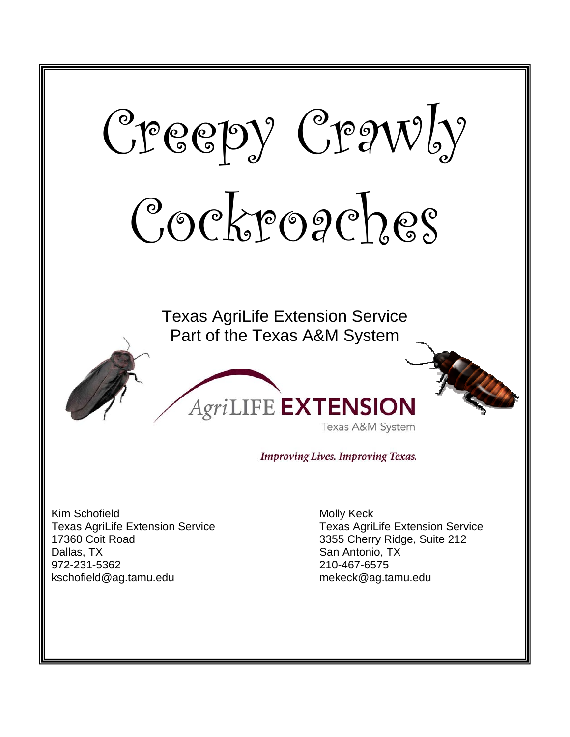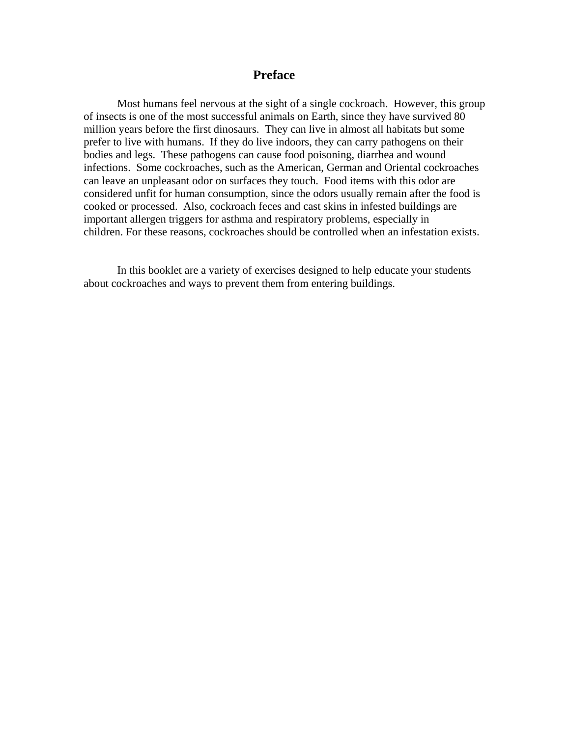#### **Preface**

 Most humans feel nervous at the sight of a single cockroach. However, this group of insects is one of the most successful animals on Earth, since they have survived 80 million years before the first dinosaurs. They can live in almost all habitats but some prefer to live with humans. If they do live indoors, they can carry pathogens on their bodies and legs. These pathogens can cause food poisoning, diarrhea and wound infections. Some cockroaches, such as the American, German and Oriental cockroaches can leave an unpleasant odor on surfaces they touch. Food items with this odor are considered unfit for human consumption, since the odors usually remain after the food is cooked or processed. Also, cockroach feces and cast skins in infested buildings are important allergen triggers for asthma and respiratory problems, especially in children. For these reasons, cockroaches should be controlled when an infestation exists.

 In this booklet are a variety of exercises designed to help educate your students about cockroaches and ways to prevent them from entering buildings.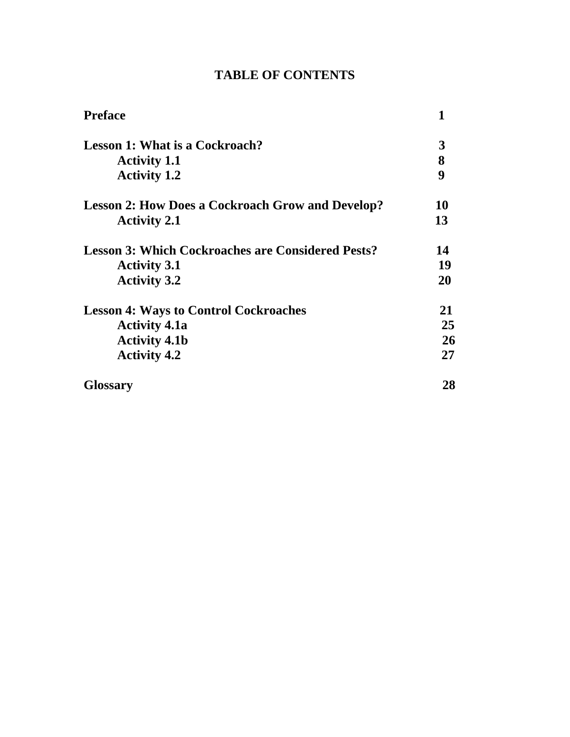| <b>Preface</b>                                           | 1                |
|----------------------------------------------------------|------------------|
| <b>Lesson 1: What is a Cockroach?</b>                    | 3                |
| <b>Activity 1.1</b>                                      | 8                |
| <b>Activity 1.2</b>                                      | $\boldsymbol{9}$ |
| <b>Lesson 2: How Does a Cockroach Grow and Develop?</b>  | 10               |
| <b>Activity 2.1</b>                                      | 13               |
| <b>Lesson 3: Which Cockroaches are Considered Pests?</b> | 14               |
| <b>Activity 3.1</b>                                      | 19               |
| <b>Activity 3.2</b>                                      | 20               |
| <b>Lesson 4: Ways to Control Cockroaches</b>             | 21               |
| <b>Activity 4.1a</b>                                     | 25               |
| <b>Activity 4.1b</b>                                     | 26               |
| <b>Activity 4.2</b>                                      | 27               |
| <b>Glossary</b>                                          | 28               |

## **TABLE OF CONTENTS**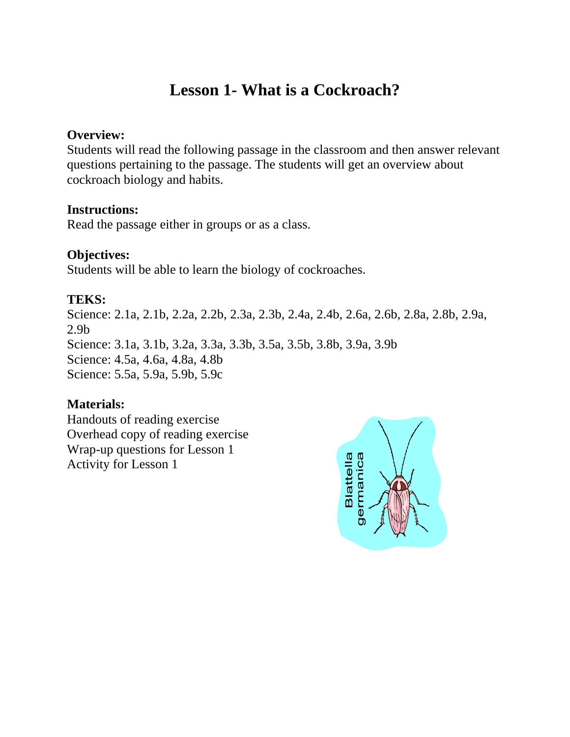## **Lesson 1- What is a Cockroach?**

### **Overview:**

Students will read the following passage in the classroom and then answer relevant questions pertaining to the passage. The students will get an overview about cockroach biology and habits.

#### **Instructions:**

Read the passage either in groups or as a class.

## **Objectives:**

Students will be able to learn the biology of cockroaches.

## **TEKS:**

Science: 2.1a, 2.1b, 2.2a, 2.2b, 2.3a, 2.3b, 2.4a, 2.4b, 2.6a, 2.6b, 2.8a, 2.8b, 2.9a, 2.9b Science: 3.1a, 3.1b, 3.2a, 3.3a, 3.3b, 3.5a, 3.5b, 3.8b, 3.9a, 3.9b Science: 4.5a, 4.6a, 4.8a, 4.8b Science: 5.5a, 5.9a, 5.9b, 5.9c

## **Materials:**

Handouts of reading exercise Overhead copy of reading exercise Wrap-up questions for Lesson 1 Activity for Lesson 1

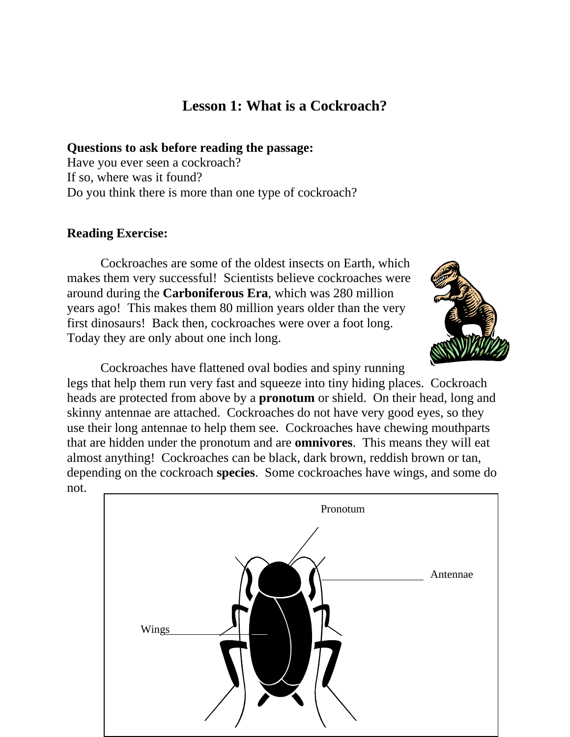## **Lesson 1: What is a Cockroach?**

**Questions to ask before reading the passage:** 

Have you ever seen a cockroach? If so, where was it found? Do you think there is more than one type of cockroach?

#### **Reading Exercise:**

 Cockroaches are some of the oldest insects on Earth, which makes them very successful! Scientists believe cockroaches were around during the **Carboniferous Era**, which was 280 million years ago! This makes them 80 million years older than the very first dinosaurs! Back then, cockroaches were over a foot long. Today they are only about one inch long.



 Cockroaches have flattened oval bodies and spiny running legs that help them run very fast and squeeze into tiny hiding places. Cockroach heads are protected from above by a **pronotum** or shield. On their head, long and skinny antennae are attached. Cockroaches do not have very good eyes, so they use their long antennae to help them see. Cockroaches have chewing mouthparts that are hidden under the pronotum and are **omnivores**. This means they will eat almost anything! Cockroaches can be black, dark brown, reddish brown or tan, depending on the cockroach **species**. Some cockroaches have wings, and some do not.

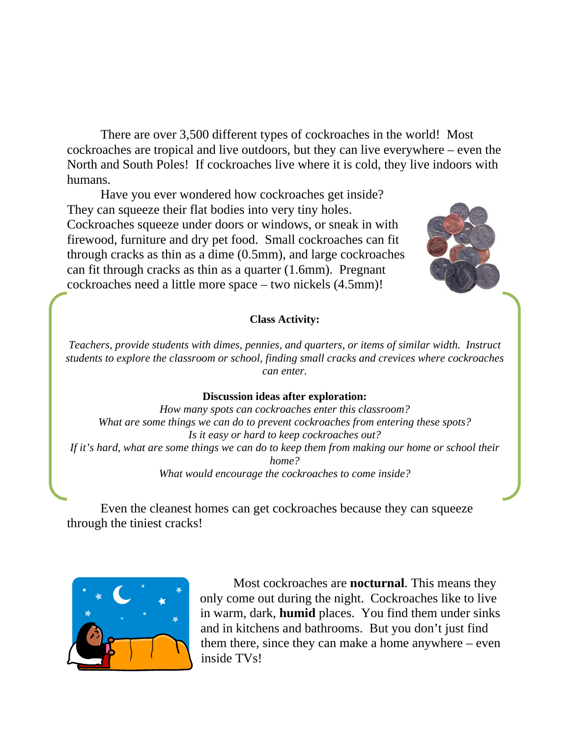There are over 3,500 different types of cockroaches in the world! Most cockroaches are tropical and live outdoors, but they can live everywhere – even the North and South Poles! If cockroaches live where it is cold, they live indoors with humans.

 Have you ever wondered how cockroaches get inside? They can squeeze their flat bodies into very tiny holes. Cockroaches squeeze under doors or windows, or sneak in with firewood, furniture and dry pet food. Small cockroaches can fit through cracks as thin as a dime (0.5mm), and large cockroaches can fit through cracks as thin as a quarter (1.6mm). Pregnant cockroaches need a little more space – two nickels (4.5mm)!



#### **Class Activity:**

*Teachers, provide students with dimes, pennies, and quarters, or items of similar width. Instruct students to explore the classroom or school, finding small cracks and crevices where cockroaches can enter.* 

#### **Discussion ideas after exploration:**

*How many spots can cockroaches enter this classroom? What are some things we can do to prevent cockroaches from entering these spots? Is it easy or hard to keep cockroaches out? If it's hard, what are some things we can do to keep them from making our home or school their home? What would encourage the cockroaches to come inside?* 

 Even the cleanest homes can get cockroaches because they can squeeze through the tiniest cracks!



 Most cockroaches are **nocturnal**. This means they only come out during the night. Cockroaches like to live in warm, dark, **humid** places. You find them under sinks and in kitchens and bathrooms. But you don't just find them there, since they can make a home anywhere – even inside TVs!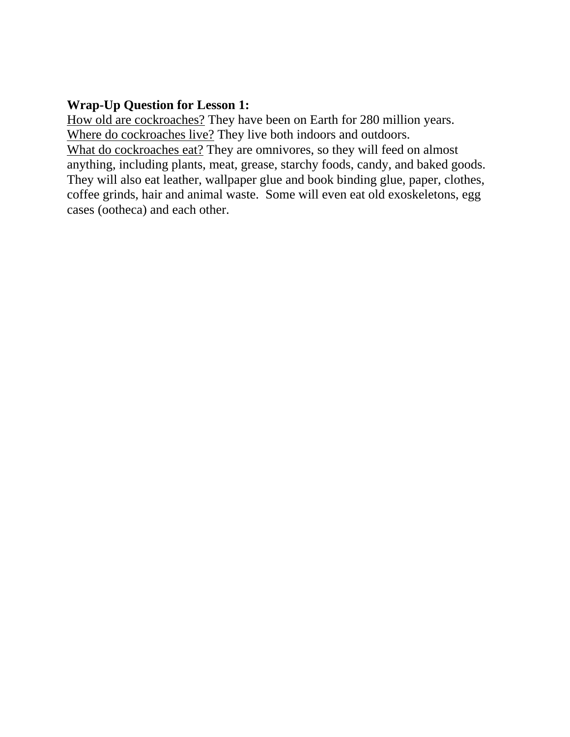## **Wrap-Up Question for Lesson 1:**

How old are cockroaches? They have been on Earth for 280 million years. Where do cockroaches live? They live both indoors and outdoors. What do cockroaches eat? They are omnivores, so they will feed on almost anything, including plants, meat, grease, starchy foods, candy, and baked goods. They will also eat leather, wallpaper glue and book binding glue, paper, clothes, coffee grinds, hair and animal waste. Some will even eat old exoskeletons, egg cases (ootheca) and each other.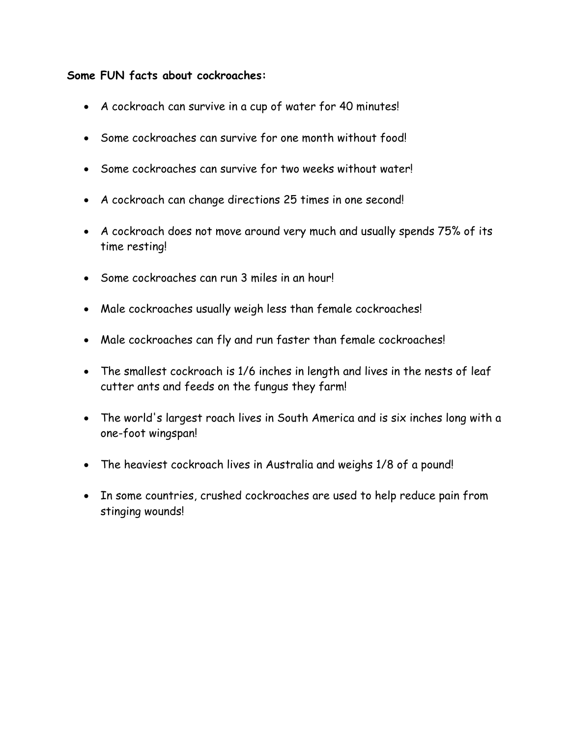#### **Some FUN facts about cockroaches:**

- A cockroach can survive in a cup of water for 40 minutes!
- Some cockroaches can survive for one month without food!
- Some cockroaches can survive for two weeks without water!
- A cockroach can change directions 25 times in one second!
- A cockroach does not move around very much and usually spends 75% of its time resting!
- Some cockroaches can run 3 miles in an hour!
- Male cockroaches usually weigh less than female cockroaches!
- Male cockroaches can fly and run faster than female cockroaches!
- The smallest cockroach is 1/6 inches in length and lives in the nests of leaf cutter ants and feeds on the fungus they farm!
- The world's largest roach lives in South America and is six inches long with a one-foot wingspan!
- The heaviest cockroach lives in Australia and weighs 1/8 of a pound!
- In some countries, crushed cockroaches are used to help reduce pain from stinging wounds!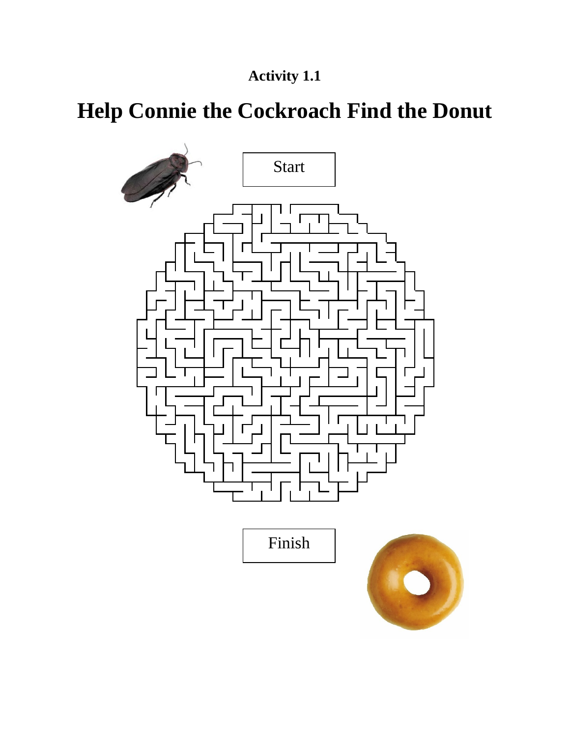## **Activity 1.1**

# **Help Connie the Cockroach Find the Donut**

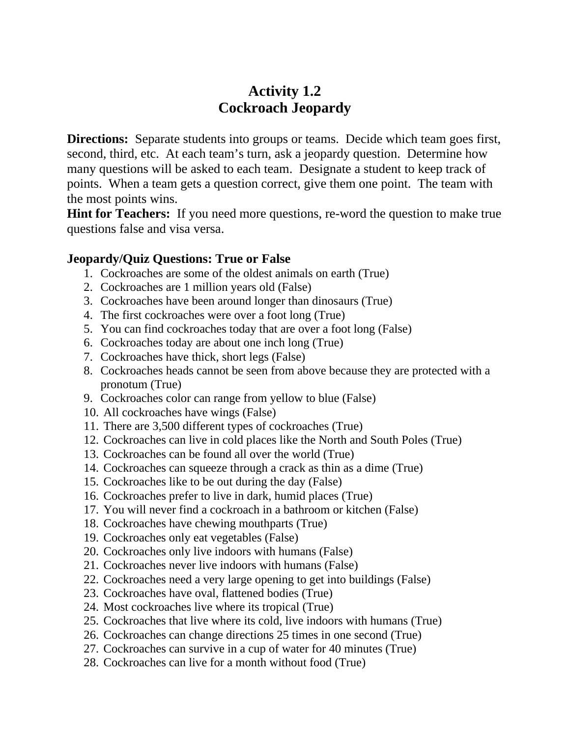## **Activity 1.2 Cockroach Jeopardy**

**Directions:** Separate students into groups or teams. Decide which team goes first, second, third, etc. At each team's turn, ask a jeopardy question. Determine how many questions will be asked to each team. Designate a student to keep track of points. When a team gets a question correct, give them one point. The team with the most points wins.

**Hint for Teachers:** If you need more questions, re-word the question to make true questions false and visa versa.

#### **Jeopardy/Quiz Questions: True or False**

- 1. Cockroaches are some of the oldest animals on earth (True)
- 2. Cockroaches are 1 million years old (False)
- 3. Cockroaches have been around longer than dinosaurs (True)
- 4. The first cockroaches were over a foot long (True)
- 5. You can find cockroaches today that are over a foot long (False)
- 6. Cockroaches today are about one inch long (True)
- 7. Cockroaches have thick, short legs (False)
- 8. Cockroaches heads cannot be seen from above because they are protected with a pronotum (True)
- 9. Cockroaches color can range from yellow to blue (False)
- 10. All cockroaches have wings (False)
- 11. There are 3,500 different types of cockroaches (True)
- 12. Cockroaches can live in cold places like the North and South Poles (True)
- 13. Cockroaches can be found all over the world (True)
- 14. Cockroaches can squeeze through a crack as thin as a dime (True)
- 15. Cockroaches like to be out during the day (False)
- 16. Cockroaches prefer to live in dark, humid places (True)
- 17. You will never find a cockroach in a bathroom or kitchen (False)
- 18. Cockroaches have chewing mouthparts (True)
- 19. Cockroaches only eat vegetables (False)
- 20. Cockroaches only live indoors with humans (False)
- 21. Cockroaches never live indoors with humans (False)
- 22. Cockroaches need a very large opening to get into buildings (False)
- 23. Cockroaches have oval, flattened bodies (True)
- 24. Most cockroaches live where its tropical (True)
- 25. Cockroaches that live where its cold, live indoors with humans (True)
- 26. Cockroaches can change directions 25 times in one second (True)
- 27. Cockroaches can survive in a cup of water for 40 minutes (True)
- 28. Cockroaches can live for a month without food (True)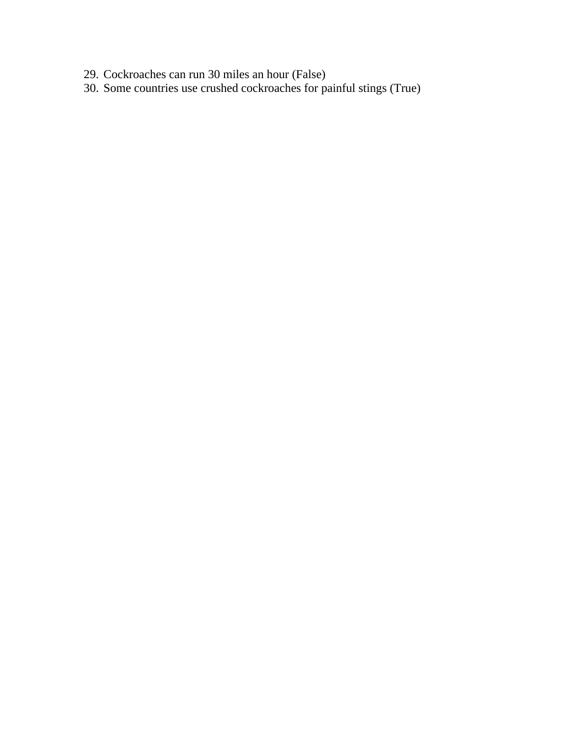- 29. Cockroaches can run 30 miles an hour (False)
- 30. Some countries use crushed cockroaches for painful stings (True)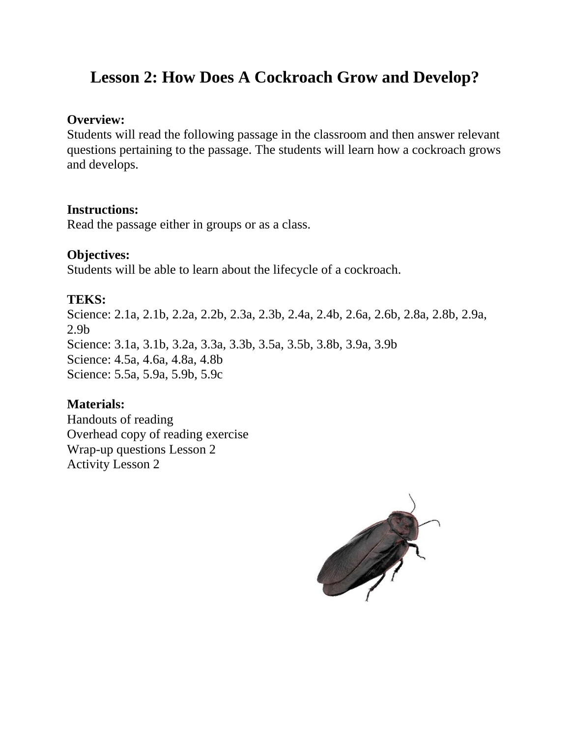## **Lesson 2: How Does A Cockroach Grow and Develop?**

#### **Overview:**

Students will read the following passage in the classroom and then answer relevant questions pertaining to the passage. The students will learn how a cockroach grows and develops.

## **Instructions:**

Read the passage either in groups or as a class.

## **Objectives:**

Students will be able to learn about the lifecycle of a cockroach.

## **TEKS:**

Science: 2.1a, 2.1b, 2.2a, 2.2b, 2.3a, 2.3b, 2.4a, 2.4b, 2.6a, 2.6b, 2.8a, 2.8b, 2.9a, 2.9b Science: 3.1a, 3.1b, 3.2a, 3.3a, 3.3b, 3.5a, 3.5b, 3.8b, 3.9a, 3.9b Science: 4.5a, 4.6a, 4.8a, 4.8b Science: 5.5a, 5.9a, 5.9b, 5.9c

## **Materials:**

Handouts of reading Overhead copy of reading exercise Wrap-up questions Lesson 2 Activity Lesson 2

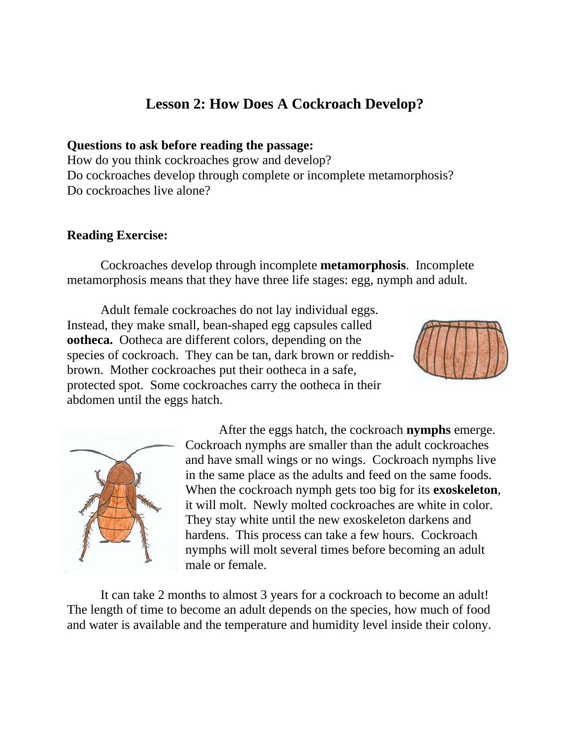## **Lesson 2: How Does A Cockroach Develop?**

**Questions to ask before reading the passage:**  How do you think cockroaches grow and develop? Do cockroaches develop through complete or incomplete metamorphosis? Do cockroaches live alone?

## **Reading Exercise:**

 Cockroaches develop through incomplete **metamorphosis**. Incomplete metamorphosis means that they have three life stages: egg, nymph and adult.

 Adult female cockroaches do not lay individual eggs. Instead, they make small, bean-shaped egg capsules called **ootheca.** Ootheca are different colors, depending on the species of cockroach. They can be tan, dark brown or reddishbrown. Mother cockroaches put their ootheca in a safe, protected spot. Some cockroaches carry the ootheca in their abdomen until the eggs hatch.





 After the eggs hatch, the cockroach **nymphs** emerge. Cockroach nymphs are smaller than the adult cockroaches and have small wings or no wings. Cockroach nymphs live in the same place as the adults and feed on the same foods. When the cockroach nymph gets too big for its **exoskeleton**, it will molt. Newly molted cockroaches are white in color. They stay white until the new exoskeleton darkens and hardens. This process can take a few hours. Cockroach nymphs will molt several times before becoming an adult male or female.

 It can take 2 months to almost 3 years for a cockroach to become an adult! The length of time to become an adult depends on the species, how much of food and water is available and the temperature and humidity level inside their colony.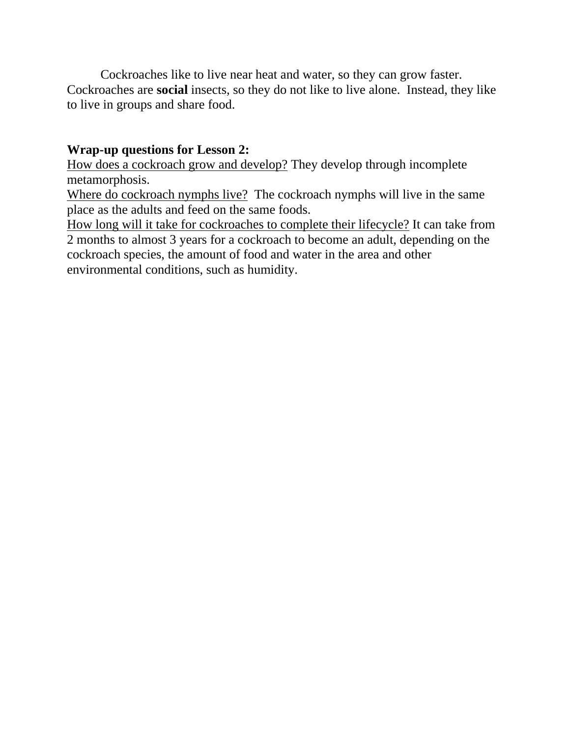Cockroaches like to live near heat and water, so they can grow faster. Cockroaches are **social** insects, so they do not like to live alone. Instead, they like to live in groups and share food.

## **Wrap-up questions for Lesson 2:**

How does a cockroach grow and develop? They develop through incomplete metamorphosis.

Where do cockroach nymphs live? The cockroach nymphs will live in the same place as the adults and feed on the same foods.

How long will it take for cockroaches to complete their lifecycle? It can take from 2 months to almost 3 years for a cockroach to become an adult, depending on the cockroach species, the amount of food and water in the area and other environmental conditions, such as humidity.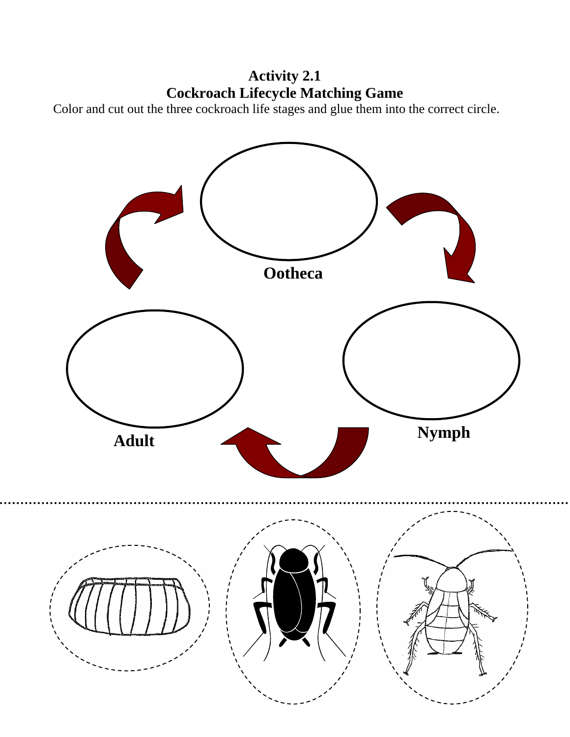**Activity 2.1 Cockroach Lifecycle Matching Game** 

Color and cut out the three cockroach life stages and glue them into the correct circle.

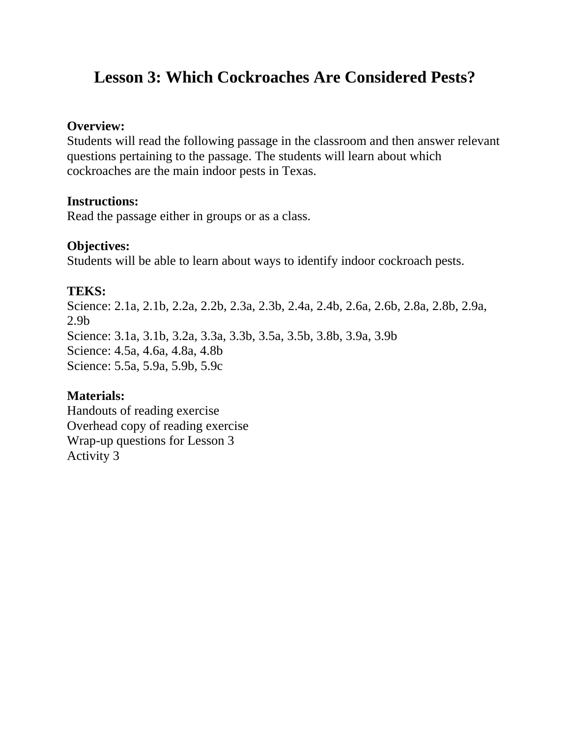## **Lesson 3: Which Cockroaches Are Considered Pests?**

#### **Overview:**

Students will read the following passage in the classroom and then answer relevant questions pertaining to the passage. The students will learn about which cockroaches are the main indoor pests in Texas.

#### **Instructions:**

Read the passage either in groups or as a class.

## **Objectives:**

Students will be able to learn about ways to identify indoor cockroach pests.

## **TEKS:**

Science: 2.1a, 2.1b, 2.2a, 2.2b, 2.3a, 2.3b, 2.4a, 2.4b, 2.6a, 2.6b, 2.8a, 2.8b, 2.9a, 2.9b Science: 3.1a, 3.1b, 3.2a, 3.3a, 3.3b, 3.5a, 3.5b, 3.8b, 3.9a, 3.9b Science: 4.5a, 4.6a, 4.8a, 4.8b Science: 5.5a, 5.9a, 5.9b, 5.9c

## **Materials:**

Handouts of reading exercise Overhead copy of reading exercise Wrap-up questions for Lesson 3 Activity 3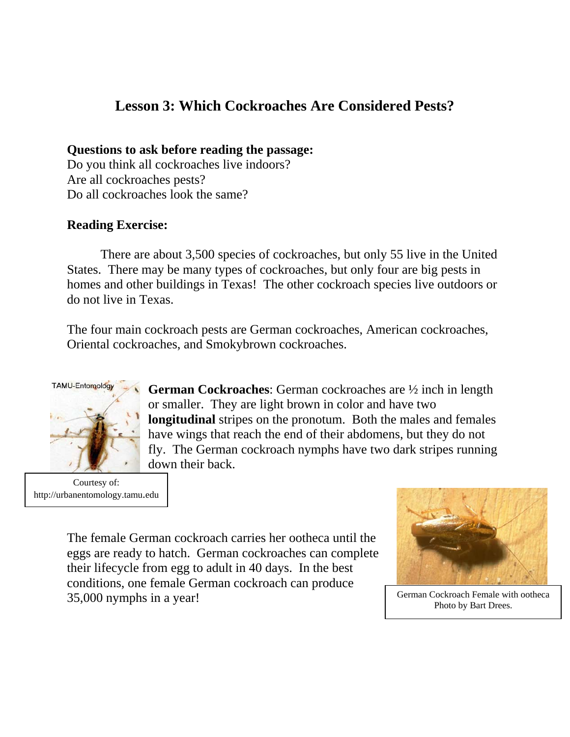## **Lesson 3: Which Cockroaches Are Considered Pests?**

#### **Questions to ask before reading the passage:**

Do you think all cockroaches live indoors? Are all cockroaches pests? Do all cockroaches look the same?

## **Reading Exercise:**

 There are about 3,500 species of cockroaches, but only 55 live in the United States. There may be many types of cockroaches, but only four are big pests in homes and other buildings in Texas! The other cockroach species live outdoors or do not live in Texas.

The four main cockroach pests are German cockroaches, American cockroaches, Oriental cockroaches, and Smokybrown cockroaches.



Courtesy of: http://urbanentomology.tamu.edu

**German Cockroaches**: German cockroaches are ½ inch in length or smaller. They are light brown in color and have two **longitudinal** stripes on the pronotum. Both the males and females have wings that reach the end of their abdomens, but they do not fly. The German cockroach nymphs have two dark stripes running down their back.

The female German cockroach carries her ootheca until the eggs are ready to hatch. German cockroaches can complete their lifecycle from egg to adult in 40 days. In the best conditions, one female German cockroach can produce 35,000 nymphs in a year! German Cockroach Female with ootheca



Photo by Bart Drees.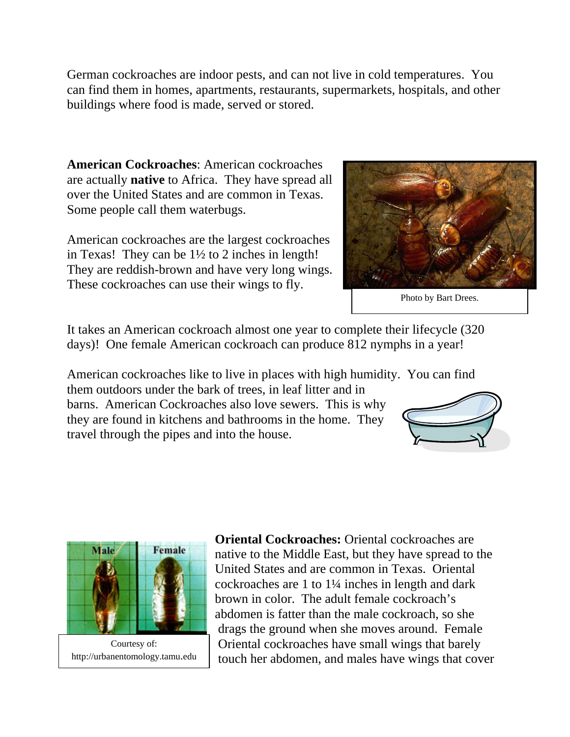German cockroaches are indoor pests, and can not live in cold temperatures. You can find them in homes, apartments, restaurants, supermarkets, hospitals, and other buildings where food is made, served or stored.

**American Cockroaches**: American cockroaches are actually **native** to Africa. They have spread all over the United States and are common in Texas. Some people call them waterbugs.

American cockroaches are the largest cockroaches in Texas! They can be 1½ to 2 inches in length! They are reddish-brown and have very long wings. These cockroaches can use their wings to fly.

It takes an American cockroach almost one year to complete their lifecycle (320 days)! One female American cockroach can produce 812 nymphs in a year!

American cockroaches like to live in places with high humidity. You can find

them outdoors under the bark of trees, in leaf litter and in barns. American Cockroaches also love sewers. This is why they are found in kitchens and bathrooms in the home. They travel through the pipes and into the house.



http://urbanentomology.tamu.edu

**Oriental Cockroaches: Oriental cockroaches are** native to the Middle East, but they have spread to the United States and are common in Texas. Oriental cockroaches are 1 to 1¼ inches in length and dark brown in color. The adult female cockroach's abdomen is fatter than the male cockroach, so she drags the ground when she moves around. Female Oriental cockroaches have small wings that barely touch her abdomen, and males have wings that cover





Photo by Bart Drees.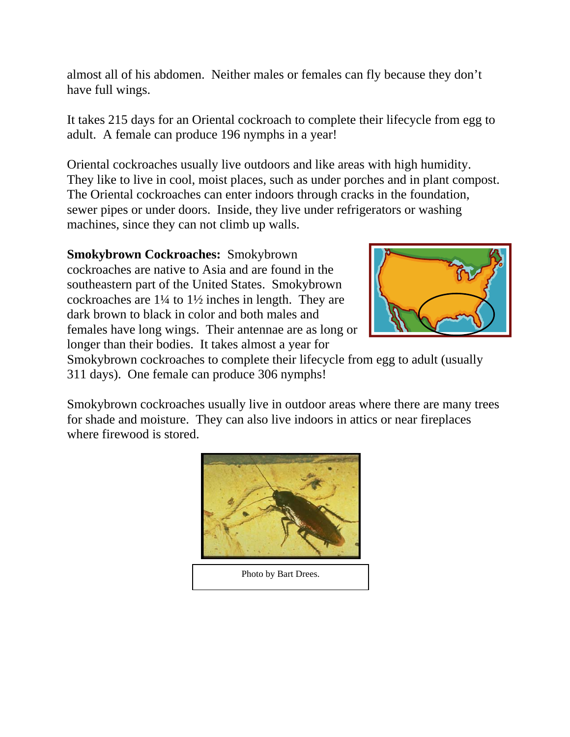almost all of his abdomen. Neither males or females can fly because they don't have full wings.

It takes 215 days for an Oriental cockroach to complete their lifecycle from egg to adult. A female can produce 196 nymphs in a year!

Oriental cockroaches usually live outdoors and like areas with high humidity. They like to live in cool, moist places, such as under porches and in plant compost. The Oriental cockroaches can enter indoors through cracks in the foundation, sewer pipes or under doors. Inside, they live under refrigerators or washing machines, since they can not climb up walls.

**Smokybrown Cockroaches:** Smokybrown cockroaches are native to Asia and are found in the southeastern part of the United States. Smokybrown cockroaches are 1¼ to 1½ inches in length. They are dark brown to black in color and both males and females have long wings. Their antennae are as long or longer than their bodies. It takes almost a year for



Smokybrown cockroaches to complete their lifecycle from egg to adult (usually 311 days). One female can produce 306 nymphs!

Smokybrown cockroaches usually live in outdoor areas where there are many trees for shade and moisture. They can also live indoors in attics or near fireplaces where firewood is stored.



Photo by Bart Drees.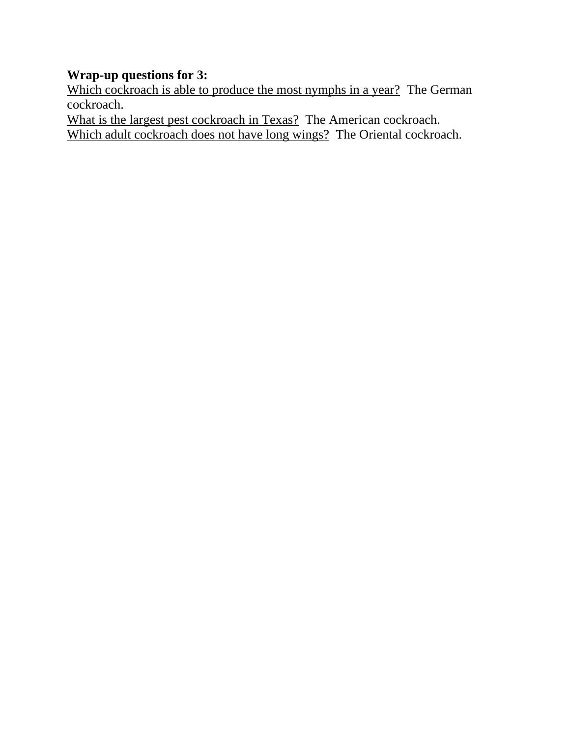## **Wrap-up questions for 3:**

Which cockroach is able to produce the most nymphs in a year? The German cockroach.

What is the largest pest cockroach in Texas? The American cockroach. Which adult cockroach does not have long wings? The Oriental cockroach.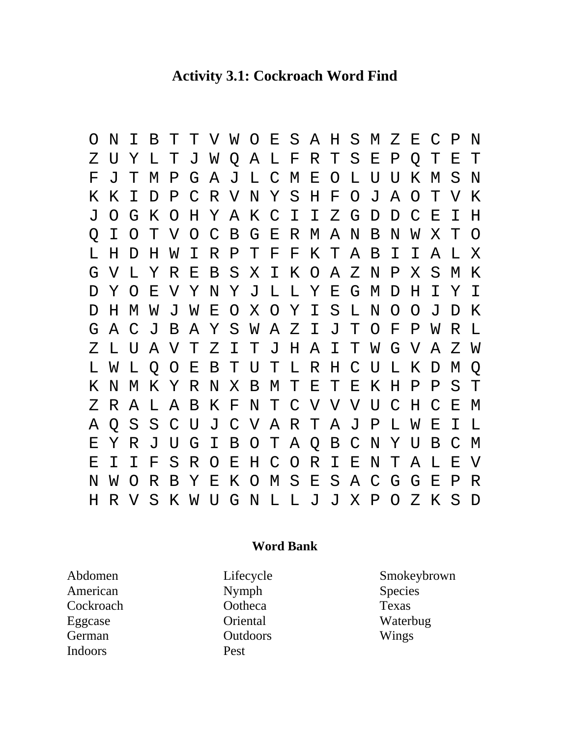## **Activity 3.1: Cockroach Word Find**

O N I B T T V W O E S A H S M Z E C P N Z U Y L T J W Q A L F R T S E P Q T E T F J T M P G A J L C M E O L U U K M S N K K I D P C R V N Y S H F O J A O T V K J O G K O H Y A K C I I Z G D D C E I H Q I O T V O C B G E R M A N B N W X T O L H D H W I R P T F F K T A B I I A L X G V L Y R E B S X I K O A Z N P X S M K D Y O E V Y N Y J L L Y E G M D H I Y I D H M W J W E O X O Y I S L N O O J D K G A C J B A Y S W A Z I J T O F P W R L Z L U A V T Z I T J H A I T W G V A Z W L W L Q O E B T U T L R H C U L K D M Q K N M K Y R N X B M T E T E K H P P S T Z R A L A B K F N T C V V V U C H C E M A Q S S C U J C V A R T A J P L W E I L E Y R J U G I B O T A Q B C N Y U B C M E I I F S R O E H C O R I E N T A L E V N W O R B Y E K O M S E S A C G G E P R H R V S K W U G N L L J J X P O Z K S D

#### **Word Bank**

Abdomen American **Cockroach** Eggcase German Indoors

Lifecycle Nymph **Ootheca Oriental Outdoors** Pest

Smokeybrown Species Texas Waterbug Wings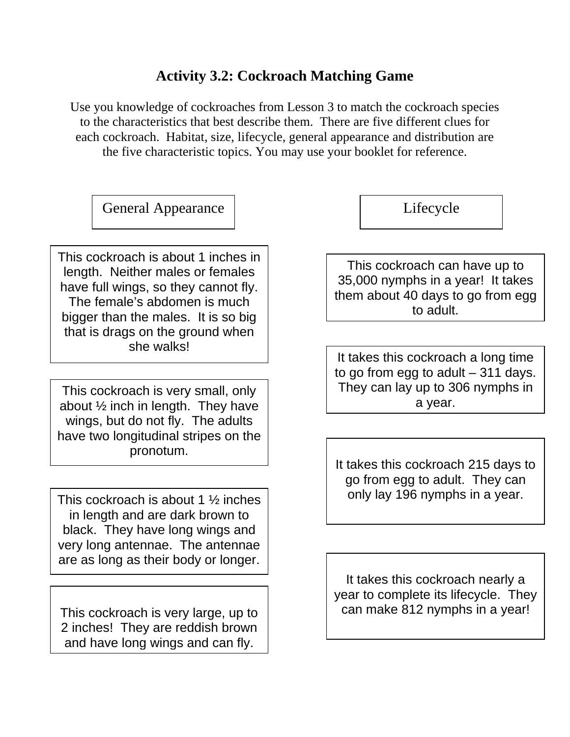## **Activity 3.2: Cockroach Matching Game**

Use you knowledge of cockroaches from Lesson 3 to match the cockroach species to the characteristics that best describe them. There are five different clues for each cockroach. Habitat, size, lifecycle, general appearance and distribution are the five characteristic topics. You may use your booklet for reference.

General Appearance | Lifecycle

This cockroach is about 1 inches in length. Neither males or females have full wings, so they cannot fly. The female's abdomen is much bigger than the males. It is so big that is drags on the ground when she walks!

This cockroach is very small, only about ½ inch in length. They have wings, but do not fly. The adults have two longitudinal stripes on the pronotum.

This cockroach is about 1  $\frac{1}{2}$  inches in length and are dark brown to black. They have long wings and very long antennae. The antennae are as long as their body or longer.

This cockroach is very large, up to 2 inches! They are reddish brown and have long wings and can fly.

This cockroach can have up to 35,000 nymphs in a year! It takes them about 40 days to go from egg to adult.

It takes this cockroach a long time to go from egg to adult – 311 days. They can lay up to 306 nymphs in a year.

It takes this cockroach 215 days to go from egg to adult. They can only lay 196 nymphs in a year.

It takes this cockroach nearly a year to complete its lifecycle. They can make 812 nymphs in a year!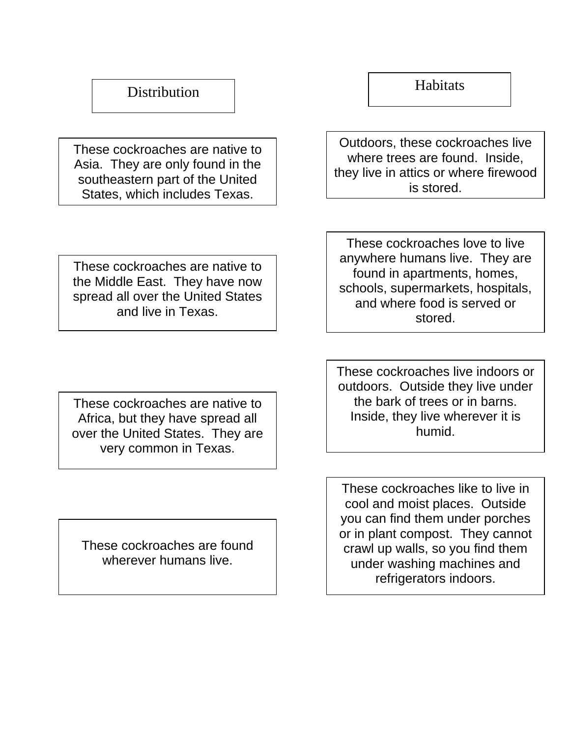## **Distribution**

These cockroaches are native to Asia. They are only found in the southeastern part of the United States, which includes Texas.

Outdoors, these cockroaches live where trees are found. Inside, they live in attics or where firewood is stored.

**Habitats** 

These cockroaches are native to the Middle East. They have now spread all over the United States and live in Texas.

These cockroaches love to live anywhere humans live. They are found in apartments, homes, schools, supermarkets, hospitals, and where food is served or stored.

These cockroaches are native to Africa, but they have spread all over the United States. They are very common in Texas.

These cockroaches are found wherever humans live.

These cockroaches live indoors or outdoors. Outside they live under the bark of trees or in barns. Inside, they live wherever it is humid.

These cockroaches like to live in cool and moist places. Outside you can find them under porches or in plant compost. They cannot crawl up walls, so you find them under washing machines and refrigerators indoors.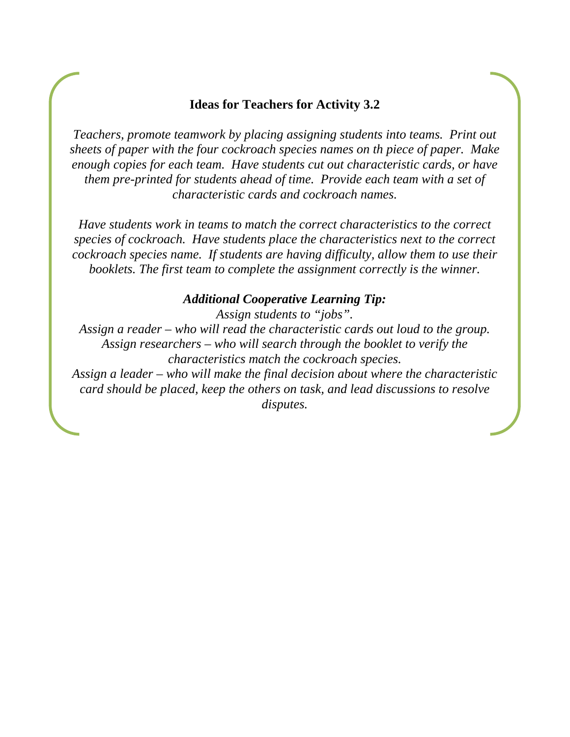#### **Ideas for Teachers for Activity 3.2**

*Teachers, promote teamwork by placing assigning students into teams. Print out sheets of paper with the four cockroach species names on th piece of paper. Make enough copies for each team. Have students cut out characteristic cards, or have them pre-printed for students ahead of time. Provide each team with a set of characteristic cards and cockroach names.* 

*Have students work in teams to match the correct characteristics to the correct species of cockroach. Have students place the characteristics next to the correct cockroach species name. If students are having difficulty, allow them to use their booklets. The first team to complete the assignment correctly is the winner.* 

#### *Additional Cooperative Learning Tip:*

*Assign students to "jobs".* 

*Assign a reader – who will read the characteristic cards out loud to the group. Assign researchers – who will search through the booklet to verify the characteristics match the cockroach species.* 

*Assign a leader – who will make the final decision about where the characteristic card should be placed, keep the others on task, and lead discussions to resolve disputes.*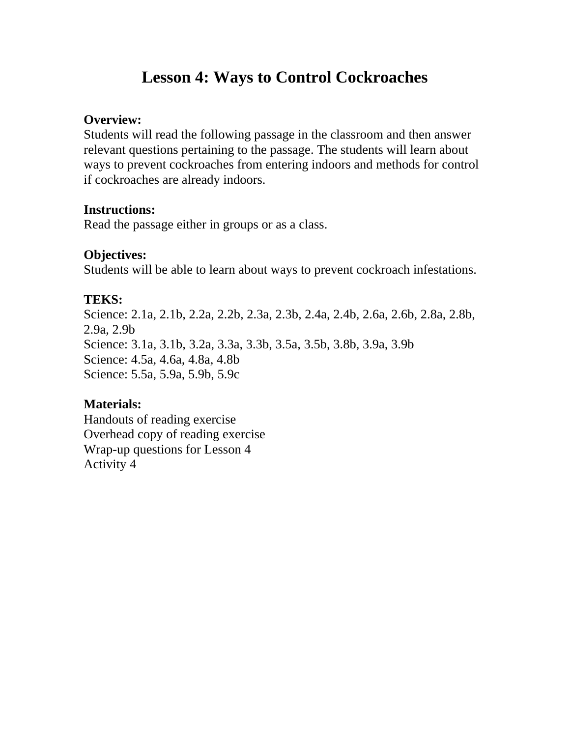## **Lesson 4: Ways to Control Cockroaches**

### **Overview:**

Students will read the following passage in the classroom and then answer relevant questions pertaining to the passage. The students will learn about ways to prevent cockroaches from entering indoors and methods for control if cockroaches are already indoors.

## **Instructions:**

Read the passage either in groups or as a class.

## **Objectives:**

Students will be able to learn about ways to prevent cockroach infestations.

## **TEKS:**

Science: 2.1a, 2.1b, 2.2a, 2.2b, 2.3a, 2.3b, 2.4a, 2.4b, 2.6a, 2.6b, 2.8a, 2.8b, 2.9a, 2.9b Science: 3.1a, 3.1b, 3.2a, 3.3a, 3.3b, 3.5a, 3.5b, 3.8b, 3.9a, 3.9b Science: 4.5a, 4.6a, 4.8a, 4.8b Science: 5.5a, 5.9a, 5.9b, 5.9c

## **Materials:**

Handouts of reading exercise Overhead copy of reading exercise Wrap-up questions for Lesson 4 Activity 4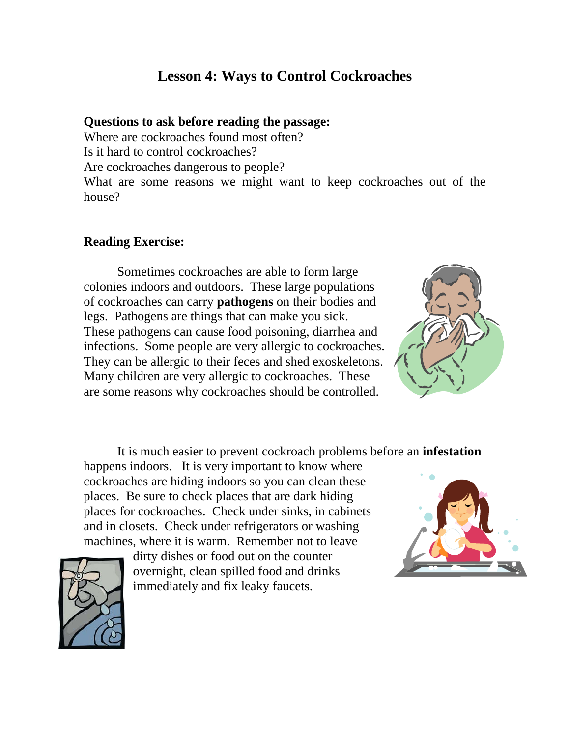## **Lesson 4: Ways to Control Cockroaches**

#### **Questions to ask before reading the passage:**

Where are cockroaches found most often? Is it hard to control cockroaches? Are cockroaches dangerous to people? What are some reasons we might want to keep cockroaches out of the house?

#### **Reading Exercise:**

 Sometimes cockroaches are able to form large colonies indoors and outdoors. These large populations of cockroaches can carry **pathogens** on their bodies and legs. Pathogens are things that can make you sick. These pathogens can cause food poisoning, diarrhea and infections. Some people are very allergic to cockroaches. They can be allergic to their feces and shed exoskeletons. Many children are very allergic to cockroaches. These are some reasons why cockroaches should be controlled.



It is much easier to prevent cockroach problems before an **infestation**

happens indoors. It is very important to know where cockroaches are hiding indoors so you can clean these places. Be sure to check places that are dark hiding places for cockroaches. Check under sinks, in cabinets and in closets. Check under refrigerators or washing machines, where it is warm. Remember not to leave





dirty dishes or food out on the counter overnight, clean spilled food and drinks immediately and fix leaky faucets.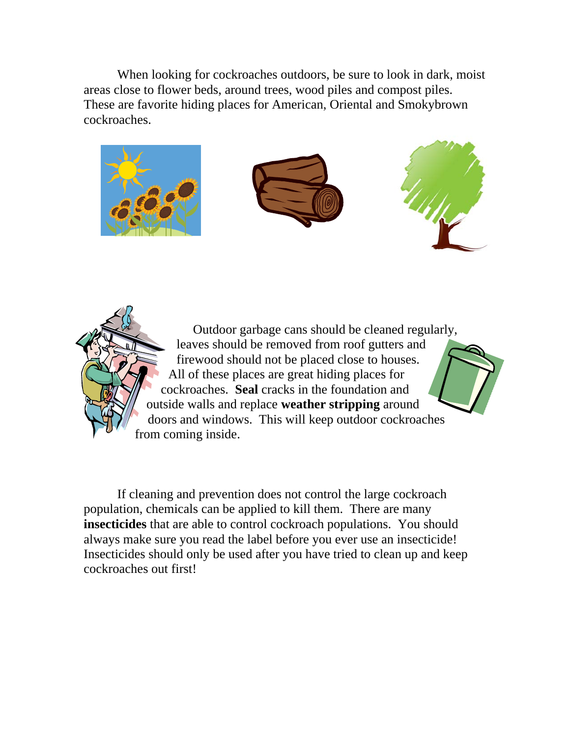When looking for cockroaches outdoors, be sure to look in dark, moist areas close to flower beds, around trees, wood piles and compost piles. These are favorite hiding places for American, Oriental and Smokybrown cockroaches.



 Outdoor garbage cans should be cleaned regularly, leaves should be removed from roof gutters and firewood should not be placed close to houses. All of these places are great hiding places for cockroaches. **Seal** cracks in the foundation and outside walls and replace **weather stripping** around doors and windows. This will keep outdoor cockroaches from coming inside.

 If cleaning and prevention does not control the large cockroach population, chemicals can be applied to kill them. There are many **insecticides** that are able to control cockroach populations. You should always make sure you read the label before you ever use an insecticide! Insecticides should only be used after you have tried to clean up and keep cockroaches out first!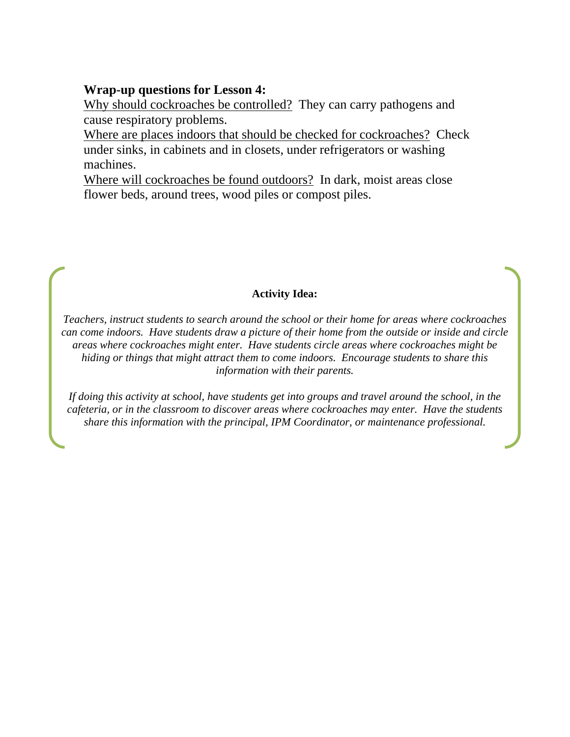#### **Wrap-up questions for Lesson 4:**

Why should cockroaches be controlled? They can carry pathogens and cause respiratory problems.

Where are places indoors that should be checked for cockroaches? Check under sinks, in cabinets and in closets, under refrigerators or washing machines.

Where will cockroaches be found outdoors? In dark, moist areas close flower beds, around trees, wood piles or compost piles.

#### **Activity Idea:**

*Teachers, instruct students to search around the school or their home for areas where cockroaches can come indoors. Have students draw a picture of their home from the outside or inside and circle areas where cockroaches might enter. Have students circle areas where cockroaches might be hiding or things that might attract them to come indoors. Encourage students to share this information with their parents.* 

*If doing this activity at school, have students get into groups and travel around the school, in the cafeteria, or in the classroom to discover areas where cockroaches may enter. Have the students share this information with the principal, IPM Coordinator, or maintenance professional.*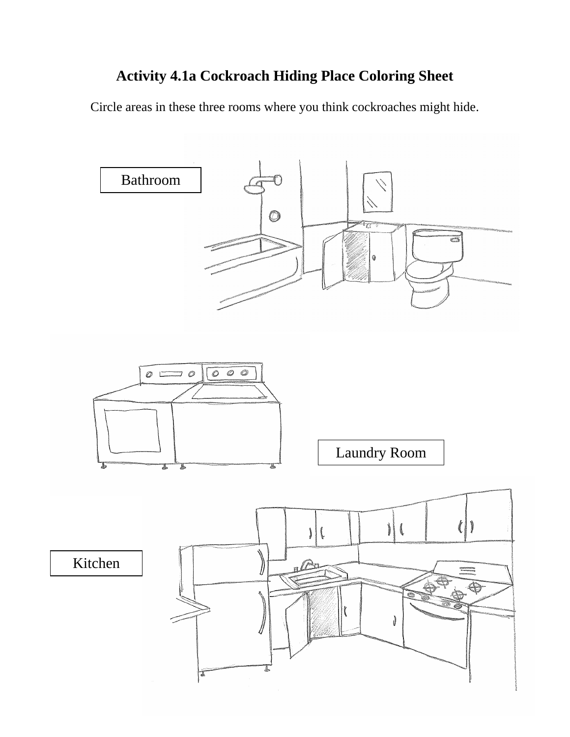## **Activity 4.1a Cockroach Hiding Place Coloring Sheet**

Circle areas in these three rooms where you think cockroaches might hide.

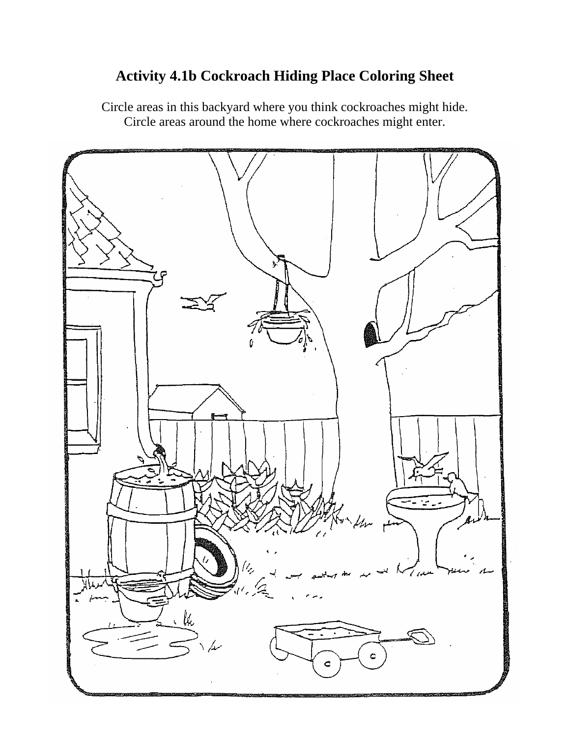## **Activity 4.1b Cockroach Hiding Place Coloring Sheet**

Circle areas in this backyard where you think cockroaches might hide. Circle areas around the home where cockroaches might enter.

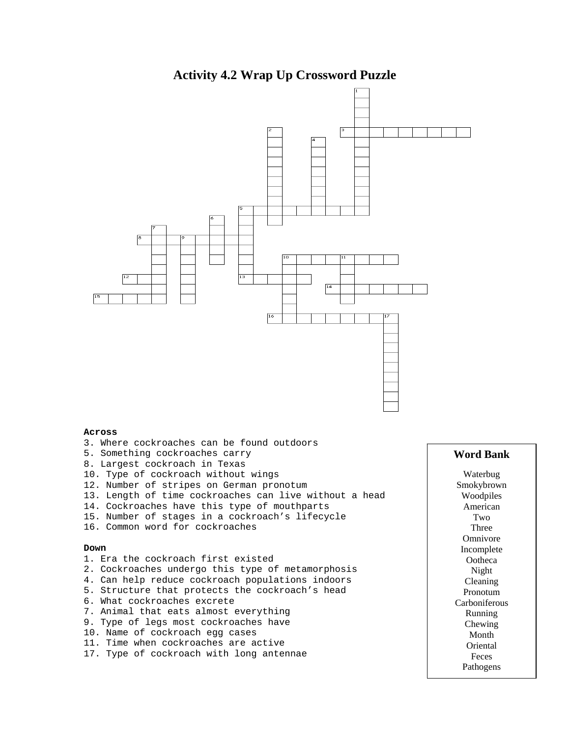#### **Activity 4.2 Wrap Up Crossword Puzzle**



- 11. Time when cockroaches are active
- 17. Type of cockroach with long antennae

#### **Word Bank**

Waterbug Smokybrown Woodpiles American Two Three Omnivore Incomplete Ootheca Night Cleaning Pronotum Carboniferous Running Chewing Month Oriental Feces Pathogens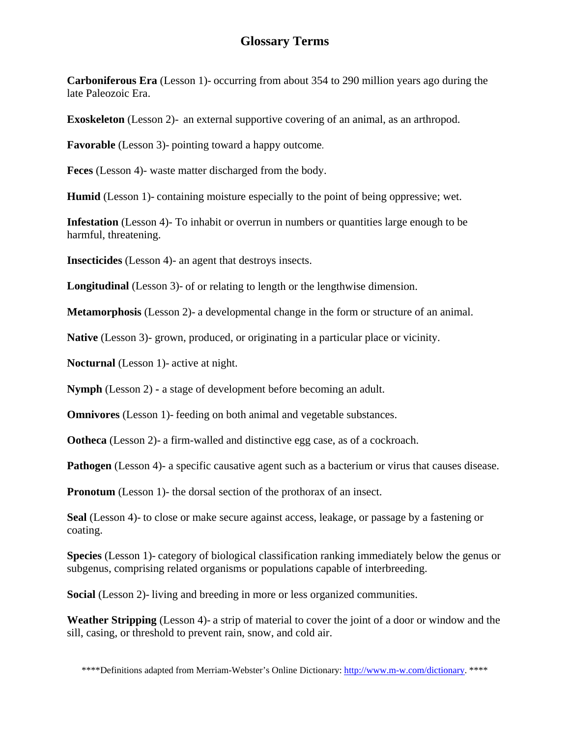## **Glossary Terms**

**Carboniferous Era** (Lesson 1)- occurring from about 354 to 290 million years ago during the late Paleozoic Era.

**Exoskeleton** (Lesson 2)-an external supportive covering of an animal, as an arthropod.

**Favorable** (Lesson 3)- pointing toward a happy outcome.

**Feces** (Lesson 4)- waste matter discharged from the body.

**Humid** (Lesson 1)- containing moisture especially to the point of being oppressive; wet.

**Infestation** (Lesson 4)- To inhabit or overrun in numbers or quantities large enough to be harmful, threatening.

**Insecticides** (Lesson 4)- an agent that destroys insects.

**Longitudinal** (Lesson 3)- of or relating to length or the lengthwise dimension.

**Metamorphosis** (Lesson 2)- a developmental change in the form or structure of an animal.

**Native** (Lesson 3)- grown, produced, or originating in a particular place or vicinity.

**Nocturnal** (Lesson 1)- active at night.

**Nymph** (Lesson 2) **-** a stage of development before becoming an adult.

**Omnivores** (Lesson 1)- feeding on both animal and vegetable substances.

**Ootheca** (Lesson 2)- a firm-walled and distinctive egg case, as of a cockroach.

**Pathogen** (Lesson 4)- a specific causative agent such as a bacterium or virus that causes disease.

**Pronotum** (Lesson 1)- the dorsal section of the prothorax of an insect.

**Seal** (Lesson 4)- to close or make secure against access, leakage, or passage by a fastening or coating.

**Species** (Lesson 1)- category of biological classification ranking immediately below the genus or subgenus, comprising related organisms or populations capable of interbreeding.

**Social** (Lesson 2)- living and breeding in more or less organized communities.

**Weather Stripping** (Lesson 4)- a strip of material to cover the joint of a door or window and the sill, casing, or threshold to prevent rain, snow, and cold air.

\*\*\*\*Definitions adapted from Merriam-Webster's Online Dictionary: http://www.m-w.com/dictionary. \*\*\*\*